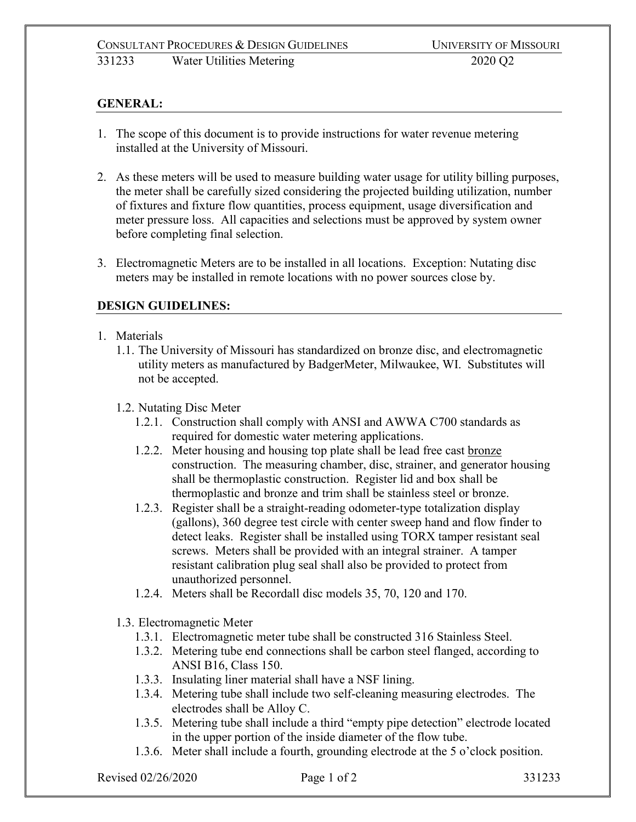# **GENERAL:**

- 1. The scope of this document is to provide instructions for water revenue metering installed at the University of Missouri.
- 2. As these meters will be used to measure building water usage for utility billing purposes, the meter shall be carefully sized considering the projected building utilization, number of fixtures and fixture flow quantities, process equipment, usage diversification and meter pressure loss. All capacities and selections must be approved by system owner before completing final selection.
- 3. Electromagnetic Meters are to be installed in all locations. Exception: Nutating disc meters may be installed in remote locations with no power sources close by.

## **DESIGN GUIDELINES:**

- 1. Materials
	- 1.1. The University of Missouri has standardized on bronze disc, and electromagnetic utility meters as manufactured by BadgerMeter, Milwaukee, WI. Substitutes will not be accepted.
	- 1.2. Nutating Disc Meter
		- 1.2.1. Construction shall comply with ANSI and AWWA C700 standards as required for domestic water metering applications.
		- 1.2.2. Meter housing and housing top plate shall be lead free cast bronze construction. The measuring chamber, disc, strainer, and generator housing shall be thermoplastic construction. Register lid and box shall be thermoplastic and bronze and trim shall be stainless steel or bronze.
		- 1.2.3. Register shall be a straight-reading odometer-type totalization display (gallons), 360 degree test circle with center sweep hand and flow finder to detect leaks. Register shall be installed using TORX tamper resistant seal screws. Meters shall be provided with an integral strainer. A tamper resistant calibration plug seal shall also be provided to protect from unauthorized personnel.
		- 1.2.4. Meters shall be Recordall disc models 35, 70, 120 and 170.
	- 1.3. Electromagnetic Meter
		- 1.3.1. Electromagnetic meter tube shall be constructed 316 Stainless Steel.
		- 1.3.2. Metering tube end connections shall be carbon steel flanged, according to ANSI B16, Class 150.
		- 1.3.3. Insulating liner material shall have a NSF lining.
		- 1.3.4. Metering tube shall include two self-cleaning measuring electrodes. The electrodes shall be Alloy C.
		- 1.3.5. Metering tube shall include a third "empty pipe detection" electrode located in the upper portion of the inside diameter of the flow tube.
		- 1.3.6. Meter shall include a fourth, grounding electrode at the 5 o'clock position.

Revised 02/26/2020 **Page 1 of 2** 331233